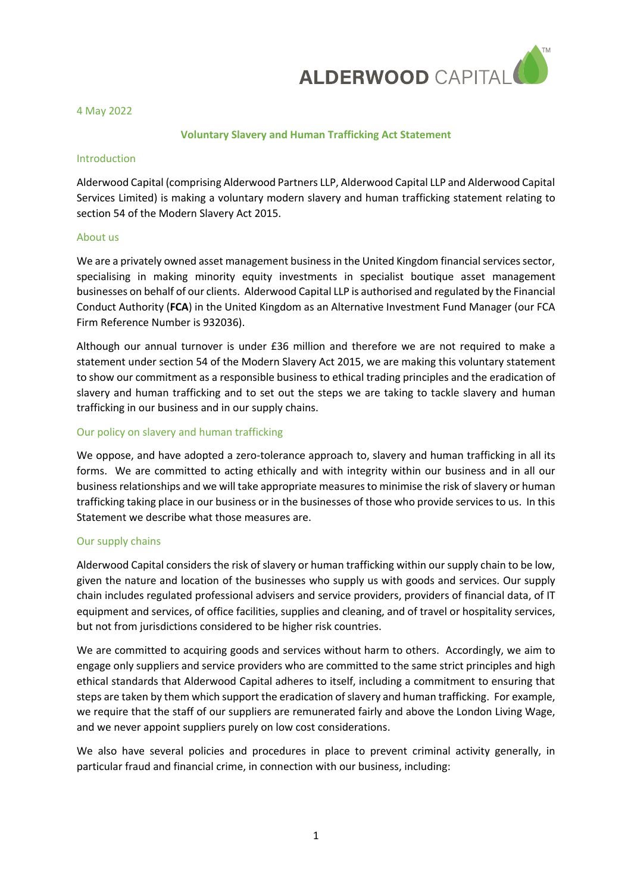

4 May 2022

#### **Voluntary Slavery and Human Trafficking Act Statement**

#### Introduction

Alderwood Capital (comprising Alderwood Partners LLP, Alderwood Capital LLP and Alderwood Capital Services Limited) is making a voluntary modern slavery and human trafficking statement relating to section 54 of the Modern Slavery Act 2015.

#### About us

We are a privately owned asset management business in the United Kingdom financial services sector, specialising in making minority equity investments in specialist boutique asset management businesses on behalf of our clients. Alderwood Capital LLP is authorised and regulated by the Financial Conduct Authority (**FCA**) in the United Kingdom as an Alternative Investment Fund Manager (our FCA Firm Reference Number is 932036).

Although our annual turnover is under £36 million and therefore we are not required to make a statement under section 54 of the Modern Slavery Act 2015, we are making this voluntary statement to show our commitment as a responsible business to ethical trading principles and the eradication of slavery and human trafficking and to set out the steps we are taking to tackle slavery and human trafficking in our business and in our supply chains.

# Our policy on slavery and human trafficking

We oppose, and have adopted a zero-tolerance approach to, slavery and human trafficking in all its forms. We are committed to acting ethically and with integrity within our business and in all our business relationships and we will take appropriate measures to minimise the risk of slavery or human trafficking taking place in our business or in the businesses of those who provide services to us. In this Statement we describe what those measures are.

# Our supply chains

Alderwood Capital considers the risk of slavery or human trafficking within our supply chain to be low, given the nature and location of the businesses who supply us with goods and services. Our supply chain includes regulated professional advisers and service providers, providers of financial data, of IT equipment and services, of office facilities, supplies and cleaning, and of travel or hospitality services, but not from jurisdictions considered to be higher risk countries.

We are committed to acquiring goods and services without harm to others. Accordingly, we aim to engage only suppliers and service providers who are committed to the same strict principles and high ethical standards that Alderwood Capital adheres to itself, including a commitment to ensuring that steps are taken by them which support the eradication of slavery and human trafficking. For example, we require that the staff of our suppliers are remunerated fairly and above the London Living Wage, and we never appoint suppliers purely on low cost considerations.

We also have several policies and procedures in place to prevent criminal activity generally, in particular fraud and financial crime, in connection with our business, including: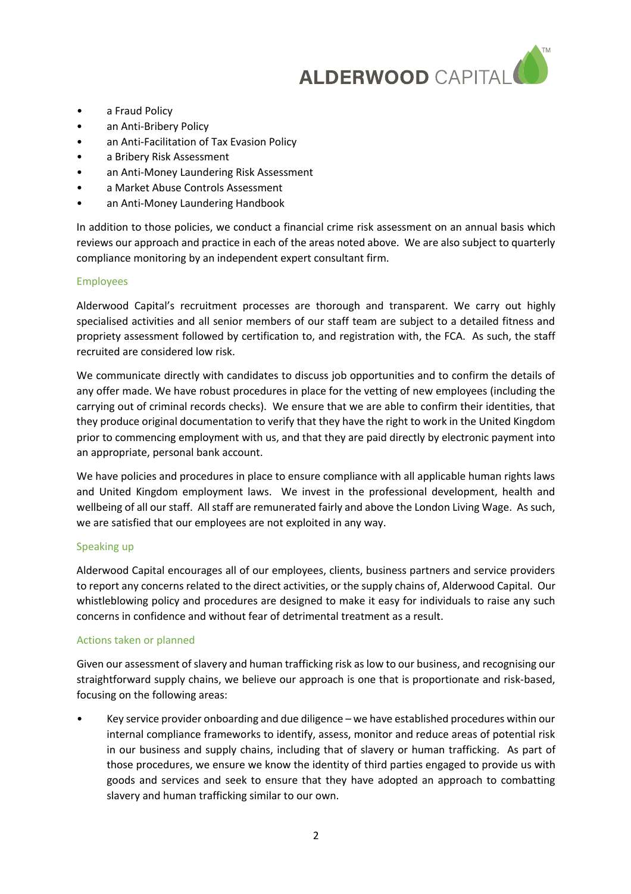

- a Fraud Policy
- an Anti-Bribery Policy
- an Anti-Facilitation of Tax Evasion Policy
- a Bribery Risk Assessment
- an Anti-Money Laundering Risk Assessment
- a Market Abuse Controls Assessment
- an Anti-Money Laundering Handbook

In addition to those policies, we conduct a financial crime risk assessment on an annual basis which reviews our approach and practice in each of the areas noted above. We are also subject to quarterly compliance monitoring by an independent expert consultant firm.

# Employees

Alderwood Capital's recruitment processes are thorough and transparent. We carry out highly specialised activities and all senior members of our staff team are subject to a detailed fitness and propriety assessment followed by certification to, and registration with, the FCA. As such, the staff recruited are considered low risk.

We communicate directly with candidates to discuss job opportunities and to confirm the details of any offer made. We have robust procedures in place for the vetting of new employees (including the carrying out of criminal records checks). We ensure that we are able to confirm their identities, that they produce original documentation to verify that they have the right to work in the United Kingdom prior to commencing employment with us, and that they are paid directly by electronic payment into an appropriate, personal bank account.

We have policies and procedures in place to ensure compliance with all applicable human rights laws and United Kingdom employment laws. We invest in the professional development, health and wellbeing of all our staff. All staff are remunerated fairly and above the London Living Wage. As such, we are satisfied that our employees are not exploited in any way.

# Speaking up

Alderwood Capital encourages all of our employees, clients, business partners and service providers to report any concerns related to the direct activities, or the supply chains of, Alderwood Capital. Our whistleblowing policy and procedures are designed to make it easy for individuals to raise any such concerns in confidence and without fear of detrimental treatment as a result.

# Actions taken or planned

Given our assessment of slavery and human trafficking risk as low to our business, and recognising our straightforward supply chains, we believe our approach is one that is proportionate and risk-based, focusing on the following areas:

• Key service provider onboarding and due diligence – we have established procedures within our internal compliance frameworks to identify, assess, monitor and reduce areas of potential risk in our business and supply chains, including that of slavery or human trafficking. As part of those procedures, we ensure we know the identity of third parties engaged to provide us with goods and services and seek to ensure that they have adopted an approach to combatting slavery and human trafficking similar to our own.